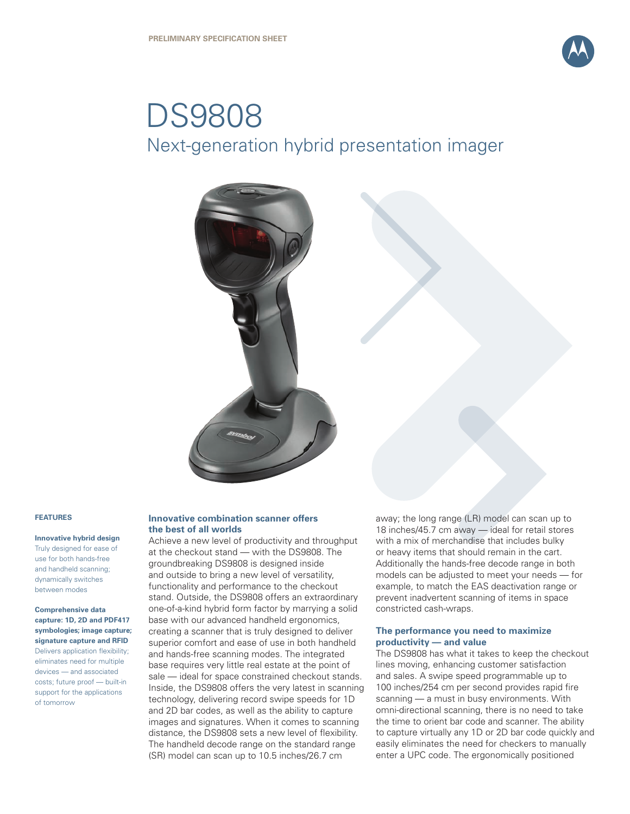

# DS9808 Next-generation hybrid presentation imager



#### **FEATURES**

**Innovative hybrid design** Truly designed for ease of

use for both hands-free and handheld scanning; dynamically switches between modes

**Comprehensive data capture: 1D, 2D and PDF417 symbologies; image capture; signature capture and RFID** Delivers application flexibility; eliminates need for multiple devices — and associated costs; future proof — built-in support for the applications of tomorrow

#### **Innovative combination scanner offers the best of all worlds**

Achieve a new level of productivity and throughput at the checkout stand — with the DS9808. The groundbreaking DS9808 is designed inside and outside to bring a new level of versatility, functionality and performance to the checkout stand. Outside, the DS9808 offers an extraordinary one-of-a-kind hybrid form factor by marrying a solid base with our advanced handheld ergonomics, creating a scanner that is truly designed to deliver superior comfort and ease of use in both handheld and hands-free scanning modes. The integrated base requires very little real estate at the point of sale — ideal for space constrained checkout stands. Inside, the DS9808 offers the very latest in scanning technology, delivering record swipe speeds for 1D and 2D bar codes, as well as the ability to capture images and signatures. When it comes to scanning distance, the DS9808 sets a new level of flexibility. The handheld decode range on the standard range (SR) model can scan up to 10.5 inches/26.7 cm

away; the long range (LR) model can scan up to 18 inches/45.7 cm away — ideal for retail stores with a mix of merchandise that includes bulky or heavy items that should remain in the cart. Additionally the hands-free decode range in both models can be adjusted to meet your needs — for example, to match the EAS deactivation range or prevent inadvertent scanning of items in space constricted cash-wraps.

#### **The performance you need to maximize productivity — and value**

The DS9808 has what it takes to keep the checkout lines moving, enhancing customer satisfaction and sales. A swipe speed programmable up to 100 inches/254 cm per second provides rapid fire scanning — a must in busy environments. With omni-directional scanning, there is no need to take the time to orient bar code and scanner. The ability to capture virtually any 1D or 2D bar code quickly and easily eliminates the need for checkers to manually enter a UPC code. The ergonomically positioned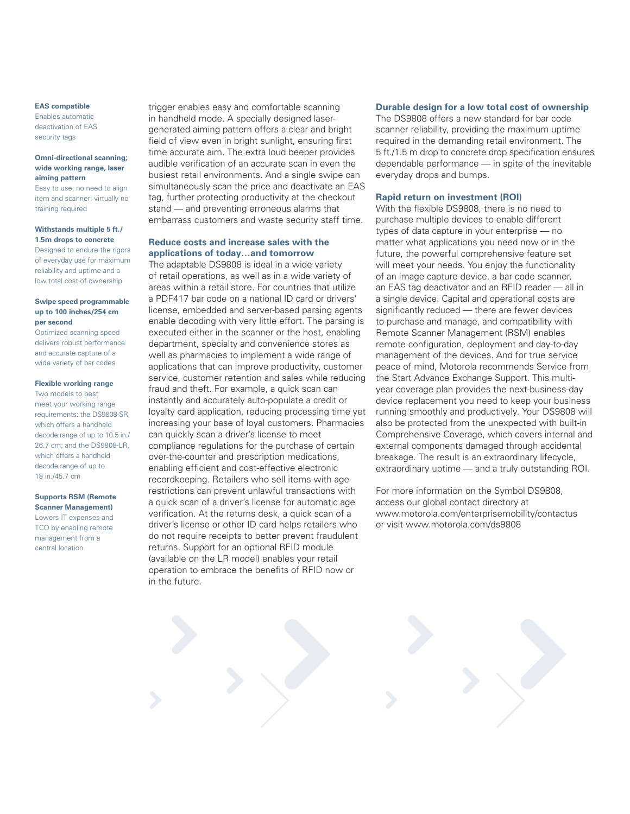#### **EAS compatible**

Enables automatic deactivation of EAS security tags

#### **Omni-directional scanning; wide working range, laser aiming pattern**

Easy to use; no need to align item and scanner; virtually no training required

#### **Withstands multiple 5 ft./ 1.5m drops to concrete**

Designed to endure the rigors of everyday use for maximum reliability and uptime and a low total cost of ownership

#### **Swipe speed programmable up to 100 inches/254 cm per second**

Optimized scanning speed delivers robust performance and accurate capture of a wide variety of bar codes

#### **Flexible working range**

Two models to best meet your working range requirements: the DS9808-SR, which offers a handheld decode range of up to 10.5 in./ 26.7 cm; and the DS9808-LR, which offers a handheld decode range of up to 18 in./45.7 cm

# **Supports RSM (Remote**

**Scanner Management)**  Lowers IT expenses and TCO by enabling remote management from a central location

trigger enables easy and comfortable scanning in handheld mode. A specially designed lasergenerated aiming pattern offers a clear and bright field of view even in bright sunlight, ensuring first time accurate aim. The extra loud beeper provides audible verification of an accurate scan in even the busiest retail environments. And a single swipe can simultaneously scan the price and deactivate an EAS tag, further protecting productivity at the checkout stand — and preventing erroneous alarms that embarrass customers and waste security staff time.

## **Reduce costs and increase sales with the applications of today…and tomorrow**

The adaptable DS9808 is ideal in a wide variety of retail operations, as well as in a wide variety of areas within a retail store. For countries that utilize a PDF417 bar code on a national ID card or drivers' license, embedded and server-based parsing agents enable decoding with very little effort. The parsing is executed either in the scanner or the host, enabling department, specialty and convenience stores as well as pharmacies to implement a wide range of applications that can improve productivity, customer service, customer retention and sales while reducing fraud and theft. For example, a quick scan can instantly and accurately auto-populate a credit or loyalty card application, reducing processing time yet increasing your base of loyal customers. Pharmacies can quickly scan a driver's license to meet compliance regulations for the purchase of certain over-the-counter and prescription medications, enabling efficient and cost-effective electronic recordkeeping. Retailers who sell items with age restrictions can prevent unlawful transactions with a quick scan of a driver's license for automatic age verification. At the returns desk, a quick scan of a driver's license or other ID card helps retailers who do not require receipts to better prevent fraudulent returns. Support for an optional RFID module (available on the LR model) enables your retail operation to embrace the benefits of RFID now or in the future.

#### **Durable design for a low total cost of ownership**

The DS9808 offers a new standard for bar code scanner reliability, providing the maximum uptime required in the demanding retail environment. The 5 ft./1.5 m drop to concrete drop specification ensures dependable performance — in spite of the inevitable everyday drops and bumps.

#### **Rapid return on investment (ROI)**

With the flexible DS9808, there is no need to purchase multiple devices to enable different types of data capture in your enterprise — no matter what applications you need now or in the future, the powerful comprehensive feature set will meet your needs. You enjoy the functionality of an image capture device, a bar code scanner, an EAS tag deactivator and an RFID reader — all in a single device. Capital and operational costs are significantly reduced — there are fewer devices to purchase and manage, and compatibility with Remote Scanner Management (RSM) enables remote configuration, deployment and day-to-day management of the devices. And for true service peace of mind, Motorola recommends Service from the Start Advance Exchange Support. This multiyear coverage plan provides the next-business-day device replacement you need to keep your business running smoothly and productively. Your DS9808 will also be protected from the unexpected with built-in Comprehensive Coverage, which covers internal and external components damaged through accidental breakage. The result is an extraordinary lifecycle, extraordinary uptime — and a truly outstanding ROI.

For more information on the Symbol DS9808, access our global contact directory at www.motorola.com/enterprisemobility/contactus or visit www.motorola.com/ds9808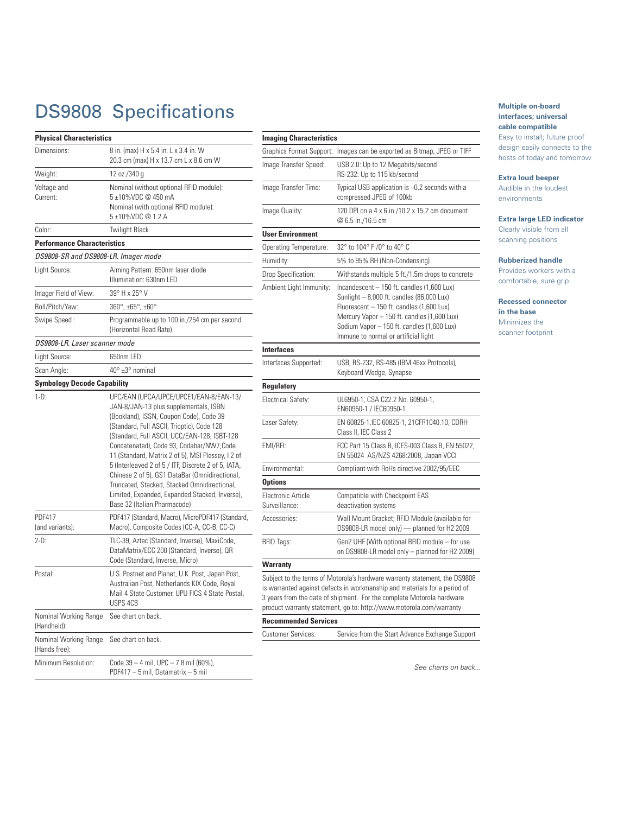# DS9808 Specifications

| <b>Physical Characteristics</b>        |                                                                                                                                                                                                                                                                                                                                                                                                                                                                                                                                                                       |  |  |
|----------------------------------------|-----------------------------------------------------------------------------------------------------------------------------------------------------------------------------------------------------------------------------------------------------------------------------------------------------------------------------------------------------------------------------------------------------------------------------------------------------------------------------------------------------------------------------------------------------------------------|--|--|
| Dimensions:                            | 8 in. (max) H x 5.4 in. L x 3.4 in. W<br>20.3 cm (max) H x 13.7 cm L x 8.6 cm W                                                                                                                                                                                                                                                                                                                                                                                                                                                                                       |  |  |
| Weight:                                | 12 oz./340 g                                                                                                                                                                                                                                                                                                                                                                                                                                                                                                                                                          |  |  |
| Voltage and<br>Current:                | Nominal (without optional RFID module):<br>5 ±10%VDC @ 450 mA<br>Nominal (with optional RFID module):<br>5±10%VDC @ 1.2 A                                                                                                                                                                                                                                                                                                                                                                                                                                             |  |  |
| Color:                                 | Twilight Black                                                                                                                                                                                                                                                                                                                                                                                                                                                                                                                                                        |  |  |
| <b>Performance Characteristics</b>     |                                                                                                                                                                                                                                                                                                                                                                                                                                                                                                                                                                       |  |  |
| DS9808-SR and DS9808-LR. Imager mode   |                                                                                                                                                                                                                                                                                                                                                                                                                                                                                                                                                                       |  |  |
| Light Source:                          | Aiming Pattern: 650nm laser diode<br>Illumination: 630nm LED                                                                                                                                                                                                                                                                                                                                                                                                                                                                                                          |  |  |
| Imager Field of View:                  | 39° H x 25° V                                                                                                                                                                                                                                                                                                                                                                                                                                                                                                                                                         |  |  |
| Roll/Pitch/Yaw:                        | $360^{\circ}$ , ±65°, ±60°                                                                                                                                                                                                                                                                                                                                                                                                                                                                                                                                            |  |  |
| Swipe Speed:                           | Programmable up to 100 in./254 cm per second<br>(Horizontal Read Rate)                                                                                                                                                                                                                                                                                                                                                                                                                                                                                                |  |  |
| DS9808-LR. Laser scanner mode          |                                                                                                                                                                                                                                                                                                                                                                                                                                                                                                                                                                       |  |  |
| Light Source:                          | 650nm LED                                                                                                                                                                                                                                                                                                                                                                                                                                                                                                                                                             |  |  |
| Scan Angle:                            | 40° ±3° nominal                                                                                                                                                                                                                                                                                                                                                                                                                                                                                                                                                       |  |  |
| <b>Symbology Decode Capability</b>     |                                                                                                                                                                                                                                                                                                                                                                                                                                                                                                                                                                       |  |  |
| $1-D$ :                                | UPC/EAN (UPCA/UPCE/UPCE1/EAN-8/EAN-13/<br>JAN-8/JAN-13 plus supplementals, ISBN<br>(Bookland), ISSN, Coupon Code), Code 39<br>(Standard, Full ASCII, Trioptic), Code 128<br>(Standard, Full ASCII, UCC/EAN-128, ISBT-128<br>Concatenated), Code 93, Codabar/NW7, Code<br>11 (Standard, Matrix 2 of 5), MSI Plessey, I 2 of<br>5 (Interleaved 2 of 5 / ITF, Discrete 2 of 5, IATA,<br>Chinese 2 of 5), GS1 DataBar (Omnidirectional,<br>Truncated, Stacked, Stacked Omnidirectional,<br>Limited, Expanded, Expanded Stacked, Inverse),<br>Base 32 (Italian Pharmacode) |  |  |
| <b>PDF417</b><br>(and variants):       | PDF417 (Standard, Macro), MicroPDF417 (Standard,<br>Macro), Composite Codes (CC-A, CC-B, CC-C)                                                                                                                                                                                                                                                                                                                                                                                                                                                                        |  |  |
| $2-D$ :                                | TLC-39, Aztec (Standard, Inverse), MaxiCode,<br>DataMatrix/ECC 200 (Standard, Inverse), QR<br>Code (Standard, Inverse, Micro)                                                                                                                                                                                                                                                                                                                                                                                                                                         |  |  |
| Postal:                                | U.S. Postnet and Planet, U.K. Post, Japan Post,<br>Australian Post, Netherlands KIX Code, Royal<br>Mail 4 State Customer, UPU FICS 4 State Postal,<br>USPS 4CB                                                                                                                                                                                                                                                                                                                                                                                                        |  |  |
| Nominal Working Range<br>(Handheld):   | See chart on back.                                                                                                                                                                                                                                                                                                                                                                                                                                                                                                                                                    |  |  |
| Nominal Working Range<br>(Hands free): | See chart on back.                                                                                                                                                                                                                                                                                                                                                                                                                                                                                                                                                    |  |  |
| Minimum Resolution:                    | Code 39 - 4 mil, UPC - 7.8 mil (60%),<br>PDF417 - 5 mil, Datamatrix - 5 mil                                                                                                                                                                                                                                                                                                                                                                                                                                                                                           |  |  |

| <b>Imaging Characteristics</b>      |                                                                                                                                                                                                                                                                                                         |
|-------------------------------------|---------------------------------------------------------------------------------------------------------------------------------------------------------------------------------------------------------------------------------------------------------------------------------------------------------|
| Graphics Format Support:            | Images can be exported as Bitmap, JPEG or TIFF                                                                                                                                                                                                                                                          |
| Image Transfer Speed:               | USB 2.0: Up to 12 Megabits/second<br>RS-232: Up to 115 kb/second                                                                                                                                                                                                                                        |
| Image Transfer Time:                | Typical USB application is ~0.2 seconds with a<br>compressed JPEG of 100kb                                                                                                                                                                                                                              |
| Image Quality:                      | 120 DPI on a 4 x 6 in./10.2 x 15.2 cm document<br>@ 6.5 in./16.5 cm                                                                                                                                                                                                                                     |
| <b>User Environment</b>             |                                                                                                                                                                                                                                                                                                         |
| Operating Temperature:              | 32° to 104° F /0° to 40° C                                                                                                                                                                                                                                                                              |
| Humidity:                           | 5% to 95% RH (Non-Condensing)                                                                                                                                                                                                                                                                           |
| Drop Specification:                 | Withstands multiple 5 ft./1.5m drops to concrete                                                                                                                                                                                                                                                        |
| Ambient Light Immunity:             | Incandescent - 150 ft. candles (1,600 Lux)<br>Sunlight - 8,000 ft. candles (86,000 Lux)<br>Fluorescent - 150 ft. candles (1,600 Lux)<br>Mercury Vapor - 150 ft. candles (1,600 Lux)<br>Sodium Vapor - 150 ft. candles (1,600 Lux)<br>Immune to normal or artificial light                               |
| <b>Interfaces</b>                   |                                                                                                                                                                                                                                                                                                         |
| Interfaces Supported:               | USB, RS-232, RS-485 (IBM 46xx Protocols),<br>Keyboard Wedge, Synapse                                                                                                                                                                                                                                    |
| <b>Regulatory</b>                   |                                                                                                                                                                                                                                                                                                         |
| Electrical Safety:                  | UL6950-1, CSA C22.2 No. 60950-1,<br>EN60950-1 / IEC60950-1                                                                                                                                                                                                                                              |
| Laser Safety:                       | EN 60825-1, IEC 60825-1, 21CFR1040.10, CDRH<br>Class II, IEC Class 2                                                                                                                                                                                                                                    |
| EMI/RFI:                            | FCC Part 15 Class B, ICES-003 Class B, EN 55022,<br>EN 55024 AS/NZS 4268:2008, Japan VCCI                                                                                                                                                                                                               |
| Environmental:                      | Compliant with RoHs directive 2002/95/EEC                                                                                                                                                                                                                                                               |
| <b>Options</b>                      |                                                                                                                                                                                                                                                                                                         |
| Electronic Article<br>Surveillance: | Compatible with Checkpoint EAS<br>deactivation systems                                                                                                                                                                                                                                                  |
| Accessories:                        | Wall Mount Bracket; RFID Module (available for<br>DS9808-LR model only) - planned for H2 2009                                                                                                                                                                                                           |
| RFID Tags:                          | Gen2 UHF (With optional RFID module - for use<br>on DS9808-LR model only - planned for H2 2009)                                                                                                                                                                                                         |
| Warranty                            |                                                                                                                                                                                                                                                                                                         |
|                                     | Subject to the terms of Motorola's hardware warranty statement, the DS9808<br>is warranted against defects in workmanship and materials for a period of<br>3 years from the date of shipment. For the complete Motorola hardware<br>product warranty statement, go to: http://www.motorola.com/warranty |
| <b>Recommended Services</b>         |                                                                                                                                                                                                                                                                                                         |
| <b>Customer Services:</b>           | Service from the Start Advance Exchange Support                                                                                                                                                                                                                                                         |

#### **Multiple on-board interfaces; universal cable compatible**

Easy to install; future proof design easily connects to the hosts of today and tomorrow

#### **Extra loud beeper**

Audible in the loudest environments

#### **Extra large LED indicator**

Clearly visible from all scanning positions

#### **Rubberized handle**

Provides workers with a comfortable, sure grip

**Recessed connector in the base** Minimizes the

scanner footprint

*See charts on back...*